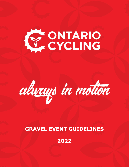# KY ONTARIO



## **GRAVEL EVENT GUIDELINES**

**2022**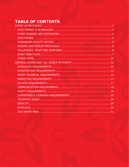# TABLE OF CONTENTS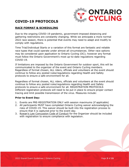

## <span id="page-2-0"></span>**COVID-19 PROTOCOLS**

#### <span id="page-2-1"></span>**RACE FORMAT & SCHEDULING**

Due to the ongoing COVID-19 pandemic, government-imposed distancing and gathering restrictions are constantly changing. While we anticipate a more normal 2022 race season, there is potential that events may need to adapt and modify to comply with regulations.

Time Trial/Individual Starts or a variation of this format are fantastic and reliable race types that could operate under almost all circumstances. Other race options may be considered upon application to Ontario Cycling (OC); however any format must follow the Ontario Government's most up-to-date regulations regarding COVID-19.

If limitations are imposed by the Ontario Government for outdoor sport, this will be communicated to the organizer of the event and Ontario Cycling members. Regardless of format chosen, ALL riders, officials and volunteers at the event should continue to follow any posted rules/regulations regarding Health and Safety protocols to ensure a safe environment for all.

Regardless of format chosen, ALL riders, officials and volunteers at the event should continue to follow any posted rules/regulations regarding Health and Safety protocols to ensure a safe environment for all. REGISTRATION PROTOCOLS Different registration protocols will need to be put in place to ensure proper contact tracing and limit possible transmission of the virus. Measures include:

#### **Prior to Event Day:**

- 1. Events are PRE-REGISTRATION ONLY with session maximums (if applicable)
- 2. All participants MUST have completed Ontario Cycling waiver acknowledging the risks of COVID-19. This waiver should be built into the registration process to ensure that it is captured prior to the event day.
- 3. [Rowan's Law Concussion Code of Conduct](https://www.ontario.ca/page/rowans-law-concussion-safety#:~:text=Rowan) for the Organizer should be included with registration to ensure compliance with legislation.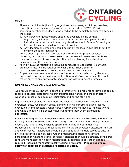

#### **Day of:**

- 1. All event participants (including organizers, volunteers, exhibitors, coaches, competitors, and spectators) may be pre-screened for COVID-19, with a screening questionnaire/declaration needing to be completed, prior to attending the event.
	- a. Any screening questionnaire should be available online so that registration/volunteers can confirm that it has been completed for the individual with no contact or writing utensil required. Passive Screening at the event may be considered as an alternative.
	- b. Any decision on screening should be run by the local Public Health Unit to confirm the local regulations
- 2. Registration/sign-in should be setup on site to ensure proper physical distancing. An outdoor covered area is recommended unless weather is an issue. An example of proper registration set-up allowing for distancing measures is on the following page.
- 3. All individuals at registration including competitors, spectators, volunteers, organizers, etc. will be required to wear a mask (not a scarf or buff). (SIGNAGE SHOULD BE POSTED INDICATING AS SUCH).
- 4. Organizers may recommend this practice for all individuals during the event, except when racing or taking a drink/eating food. Organizers have the right to refuse entry to any participant/spectator not following event protocols

#### <span id="page-3-0"></span>**EVENT SIGNAGE AND DISTANCING**

As a result of the COVID-19 Pandemic, all events will be required to have signage in regard to physical distancing, washing/disinfecting hands, and the mandatory wearing of masks (minimum at registration and on the start line).

Signage should be placed throughout the event facility/location including at any entrances/exits, registration areas, parking lots, washrooms facilities, course entries/exits and spectator/vendor areas. Organizers will need to indicate where and what signage will be posted when submitting their event sanctioning application.

Registration/Sign-in and Start/Finish areas shall be in a covered area, within a short walking distance of each other (Max 100m). There should still be enough airflow to ensure this is not a fully enclosed space and to limit any potential virus transmission. Individuals at these locations should be physically distanced (min 2m) and wear masks. Registration should be equipped with multiple tables to ensure physical distancing can be kept. Ground markers/indicators for staff and participants on where to stand (physically distanced) should be strongly considered (and are mandatory for indoor registration), in addition to any other signage required (including mandatory mask wearing in this area). **Please see image below for example of distanced registration setup.**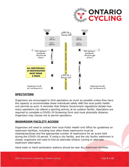



#### <span id="page-4-0"></span>**SPECTATORS**

Organizers are encouraged to limit spectators as much as possible unless they have the capacity to accommodate these individuals safely AND the local public health unit permits as such. A reminder that Ontario Government regulations dictate how many spectators can attend a sporting activity at an outdoor facility. Spectators are required to complete a COVID-19 Screening Form and must physically distance. Organizers may choose not to permit spectators.

#### <span id="page-4-1"></span>**WASHROOM FACILITY ACCESS**

Organizers will need to contact their local Public Health Unit Office for guidelines on washroom facilities, including how often these washrooms must be cleaned/sanitized and the appropriate number of washrooms for an event held during the COVID-19 period. If using a city facility, and the city facility washroom is closed, organizers will need to find an alternate Ontario Cycling or alternate washroom alternative.

Hand wash or hand sanitization stations should be near ALL washroom facilities.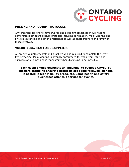

#### <span id="page-5-0"></span>**PRIZING AND PODIUM PROTOCOLS**

Any organizer looking to have awards and a podium presentation will need to demonstrate stringent podium protocols including sanitization, mask wearing and physical distancing of both the recipients as well as photographers and family of those involved.

#### <span id="page-5-1"></span>**VOLUNTEERS, STAFF AND SUPPLIERS**

All on-site volunteers, staff and suppliers will be required to complete the Event Pre-Screening. Mask wearing is strongly encouraged for volunteers, staff and suppliers at all times and is mandatory when distancing is not possible.

**Each event should designate an individual to oversee COVID-19 matters, including ensuring protocols are being followed, signage is posted in high visibility areas, etc. Some health and safety businesses offer this service for events.**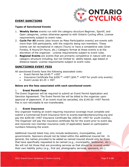#### <span id="page-6-0"></span>**EVENT SANCTIONS**



#### **Types of Sanctioned Events**

- 1. **Weekly Series** events run with the category structure Beginner, Sportif, and Open categories, unless otherwise agreed to with Ontario Cycling office. License requirements subject to event rules.
- 2. **Cycle For All** events (also known as Mass Participation events) are events with more than 500 participants, with the majority being non-members. These events can be recreational in nature (Tours) or have a competitive side (Gran Fondos, 8 Hours/24 Hours, etc.) Category format at these events is at the discretion of the organizer. License requirements subject to event rules.
- 3. **Regional Events** are events that are primarily competitive in nature with any category structure including, but not limited to: ability-based, age-based or distance-based. License requirements subject to event rules.

#### **SANCTIONED EVENT FEES**

All sanctioned Events have the following associated costs:

- Event Permit fee \$140.00 +HST
- Insurance Certificate Fee \$200.00 +HST (\$50.00 +HST for youth only events)
- Event Levies \$3.25 + HST

#### **Below are the fees associated with each sanctioned event:**

#### 1. **Event Permit Fees**

The Event Organizer will be required to submit an Event Permit Application and Sanction Agreement. The Event Permit fee will be billed to the organizer upon approval of paperwork. If an event must be cancelled, the \$140.00 +HST Permit Fee is non-refundable & non-transferable.

#### 2. **Event Insurance**

Any organizer hosting an event requiring insurance coverage must complete and submit a Commercial Event Insurance form to events.team@ontariocycling.org and pay the \$200.00 +HST Insurance Certificate fee (\$50.00 +HST for youth events). The Organizer will pay the insurance certificate fee for the event prior to event day and reconcile non-member insurance costs (if applicable) based on participation numbers following the event.

Additional insured listed may only include landowners, municipalities, and governments. Sponsors should not be listed within the additional insured list. In general, the names provided to be added as named insured should only be those that have specifically requested to be named (e.g., municipality, landowner, etc.). We will not list those that are providing services as that should be covered under their own liability policy (e.g., first aid, photography services, sponsors, etc.).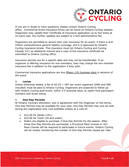

If you are in doubt or have questions, please contact Ontario Cycling office. Commercial Event insurance forms can be found on Ontario Cycling website. Organizers may update their Certificate of Insurance application up to two times at no extra cost. Any further updates are subject to a \$25 administrative fee.

Organizers are permitted to secure their own insurance for an event, if there is \$10 million comprehensive general liability coverage, and it is approved by Ontario Cycling insurance broker. This insurance must list Ontario Cycling and Cycling Canada (CC) as additional insured and a copy of the insurance certificate be submitted to Ontario Cycling office.

Insurance permits are for a specific date and may not be transferable. If an organizer is offering insurance for non-members, they may charge the non-member insurance fee in addition to the registration if they wish.

Commercial insurance applications are due fifteen (15) business days in advance of the event.

#### 3. **Levies**

Unless otherwise stated, a fee of \$3.25 + HST per event registrant (DNS and DNF included) must be paid to Ontario Cycling. Organizers are expected to follow up with Ontario Cycling post-event, within 3-5 business days, to report final participant numbers and levies owing.

#### 4. **One-Day Permits**

At Ontario Cycling's discretion, and in agreement with the Organizer on the terms, One-Day Permits may be available for your race. One-Day Permits may only be sold during pre-registration only (not available onsite) at a cost of:

- \$15.00 for Adults (19+)
- \$10.00 for Youth (18 and under)
- Riders are eligible to purchase 3 One-Day Permits for the season. After three One-Day Permits are purchased, a Provincial Race License or UCI Race License will be required to participate in future events. Ontario Cycling will be closely monitoring the number of One-Day Permits issued per rider.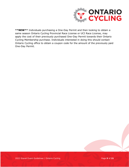

**\*\*NEW\*\*** Individuals purchasing a One-Day Permit and then looking to obtain a same season Ontario Cycling Provincial Race License or UCI Race License, may apply the cost of their previously purchased One-Day Permit towards their Ontario Cycling Membership purchase. Individuals interested in doing this should contact Ontario Cycling office to obtain a coupon code for the amount of the previously paid One-Day Permit.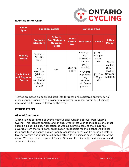

#### **Event Sanction Chart**

| <b>Event</b><br><b>Type</b>                           | <b>Sanction Details</b>                                                      |                                                                          | <b>Sanction Fees</b>                        |                                                                              |                                         |                                                                      |
|-------------------------------------------------------|------------------------------------------------------------------------------|--------------------------------------------------------------------------|---------------------------------------------|------------------------------------------------------------------------------|-----------------------------------------|----------------------------------------------------------------------|
|                                                       | <b>Category</b><br><b>Structure</b>                                          | <b>Ontario</b><br><b>Cup/Category</b><br><b>Upgrade</b><br><b>Points</b> | <b>Event</b><br><b>Permit</b><br><b>Fee</b> | <b>Insurance</b>                                                             | Levies*                                 | $1-Day$<br><b>Permit</b>                                             |
| <b>Weekly</b><br><b>Series</b>                        | Beginner,<br>Sportif,<br>Open                                                | N/A                                                                      |                                             | $$200.00 +$<br><b>HST</b><br>$(*50.00 +$<br>HST for<br>youth                 | $$3.25 +$<br>HST per<br>unique<br>rider | Please<br>contact<br>Ontario<br>Cycling<br>Office for<br>Eligibility |
| <b>Cycle For All</b><br>and Regional<br><b>Events</b> | Any<br>structure<br>(ability-<br>based,<br>age-based,<br>distance-<br>based) |                                                                          | \$140.00<br>+ HST                           | events)<br>**Events<br>with One-<br>Day<br>Permits<br>will face a<br>premium | $$3.25 +$<br>HST per<br>rider           |                                                                      |

\*Levies are based on published start lists for races and registered entrants for all other events. Organizers to provide final registrant numbers within 3-5 business days and will be invoiced following the event.

#### <span id="page-9-0"></span>**OTHER ITEMS**

#### **Alcohol Insurance**

Alcohol is not permitted at events without prior written approval from Ontario Cycling. This includes samples and prizing. Events that wish to include alcohol must submit a Liquor Liability Application as well as submit a copy of the insurance coverage from the third-party organization responsible for the alcohol. Additional insurance fees will apply. Liquor Liability Application forms can be found on Ontario Cycling website and must be submitted fifteen (15) business days in advance of the event. We may require copies of Special Occasion Permits and/or evidence of smart serve certificates.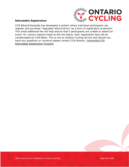

#### **Refundable Registration**

CCN Bikes/Interpodia has developed a system where individual participants can register and purchase "upgraded refund terms" as a form of registration protection. This small additional fee will help ensure that if participants are unable to attend an event, for various reasons listed at the link below, their registration fees will be compensated by CCN Bikes. This is not an Ontario Cycling service and should you have any questions or concerns please contact CCN directly. [Interpodia/CCN](https://interpodia.com/new-feature-refundable-registrations-enabled-to-improve-purchaser-confidence/)  [Refundable Registration Program](https://interpodia.com/new-feature-refundable-registrations-enabled-to-improve-purchaser-confidence/)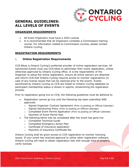

### <span id="page-11-0"></span>**GENERAL GUIDELINES: ALL LEVELS OF EVENTS**

#### <span id="page-11-1"></span>**ORGANIZER REQUIREMENTS**

- All Event Organizers must have a 2022 License
- It is recommended that all Organizers complete a Commissaire training course. For information related to Commissaire courses, please contact Ontario Cycling.

#### <span id="page-11-2"></span>**REGISTRATION REQUIREMENTS**

#### 1. **Online Registration Requirements**

CCN Bikes is Ontario Cycling's preferred provider of online registration services. All sanctioned events must use CCN bikes to administer their event registration, unless otherwise approved by Ontario Cycling office. It is the responsibility of the Organizer to setup the online registration, ensure all online waivers are attached and inform CCN that Ontario Cycling requires access to monitor registrations (in case of any license issues that can be resolved prior to the event). Events sanctioned by Ontario Cycling on CCN are linked on Ontario Cycling database so participant membership status is shown in reports, streamlining the registration process.

Prior to registration going live on CCN, the following guidelines must be adhered to:

- Registration cannot go live until the following has been submitted AND approved:
	- $\circ$  Signed Organizer Contract Agreement (Prior to posting on Official Calendar)
	- o Signed Sanctioning Policy (Prior to posting on Official Calendar)
	- o Completed Event Permit Application (Prior to posting on Official Calendar)
	- o Payment of Event Permit fees
- The following items may be completed after the event has gone live
	- o Completed Technical Guide
	- o Completed Emergency Action Plan
	- o Certificate of Insurance Application
	- o Payment of Insurance Certificate fee

Ontario Cycling shall be given access to CCN registration to monitor licensing issues. If your event has received approval to utilize other registration software, Ontario Cycling will need to obtain registration lists with enough time to properly verify licenses.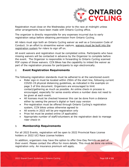

Registration must close on the Wednesday prior to the race at midnight unless other arrangements have been made with Ontario Cycling office.

The organizer is directly responsible for any expenses incurred due to early registration setup before obtaining permission from Ontario Cycling.

All riders must sign both an Ontario Cycling waiver as well as a Concussion Code of Conduct. In an effort to streamline waiver capture, waivers must be built into the registration system for riders to sign off on.

All event waivers and registration must be completed online. Participants who have missing waivers will be contacted in advance by the Organizer to complete before the event. The Organizer is responsible in forwarding to Ontario Cycling scanned PDF copies of those waivers. CCN Bikes has the capability to imbed the waiver as part of the registration process for participants to sign electronically.

#### 2. **Event Registration Requirements**

The following registration standards must be adhered to at the sanctioned event:

- Rider sign-in must be located within 250m of the start line, following current COVID-19 physical distancing guidelines, as indicated in the example on page 3 of this document. Organizers are encouraged to limit contact/gathering as much as possible. An online check-in process is encouraged, especially for series events where a number does not need to be given at each event.
- All licenses must be checked however this can be done from a distance either by seeing the person's digital or hard copy version
- Pre-registration must be offered through Ontario Cycling's registration system, CCN bikes unless otherwise agreed to
- All events in 2022 will be pre-registration only
- Prize list must be posted online (if applicable)
- Appropriate number of staff/volunteers at the registration desk to manage rider check-in

#### 3. **Membership Requirements**

For all 2022 Events, registration will be open to 2022 Provincial Race License holders or 2022 UCI Race License holders

In addition, organizers may have the option to offer One-Day Permits as part of their event. Please contact the office for more details. This must be done via online registration only. An insurance premium will apply.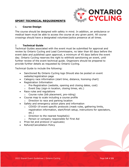

#### <span id="page-13-0"></span>**SPORT TECHNICAL REQUIREMENTS**

#### 1. **Course Design**

The course should be designed with safety in mind. In addition, an ambulance or medical team must be able to access the course at any given point. All course crossings should have a designated volunteer/police presence at all times.

#### 2. **Technical Guide**

Technical Guides associated with the event must be submitted for approval and review by Ontario Cycling and Lead Commissaire, no later than 60 days before the event date and published upon approval, a minimum of 45 days before the event day. Ontario Cycling reserves the right to withhold sanctioning an event, until further review of the event technical guide. Organizers should be prepared to provide further details as requested by Ontario Cycling.

Technical Guide to include the following:

- Sanctioned By Ontario Cycling logo Should also be posted on event website/registration page
- Category race information (start time, distance, licensing chart)
- Registration Information
	- o Pre-Registration (website, opening and closing dates, cost)
	- o Event Day (sign-in location, closing times, etc.)
- Race rules and regulations
	- o Course rules (bib placement, pre-riding)
- Course map to scale including a course profile
	- o Direction to race and parking location
- Safety and emergency action plans and information
	- o COVID-19 event specific protocols (mask rules, gathering limits, registration information, start/finish setup, instructions for spectators, etc.)
	- $\circ$  Direction to the nearest hospital(s)
	- o Person or company responsible for First Aid
- Prize list and protocol (if applicable)
- Refund/Cancellation Policy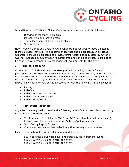

In addition to the Technical Guide, Organizers must also submit the following:

- Drawing of the start/finish area
- Marshal plan and location map
- Traffic Management Plan (if applicable)
- Staffing Plan

Note: Weekly Series and Cycle For All events are not required to have a detailed technical guide; however, it is recommended that one be prepared. In all cases, Organizers should be prepared to provide further details as requested by Ontario Cycling. Reduced documentation requirements and simplified structure are not to be confused with standard risk management requirements for the event

#### 3. **Timing & Results**

All events in 2022 should be appropriately timed, providing a result for each participant. If the Organizer wishes Ontario Cycling to share results, all results must be forwarded within 24 hours of the completion of the event so that they can be listed on the Results page of Ontario Cycling website. Results must be in either Excel, PDF or html format, sorted by category, with the following items displayed:

- Placing
- Rider's  $#$
- Rider's First and Last Name
- Rider's Club/Team Name
- Rider's Time/Result

#### 4. **Post-Event Reporting**

Organizers are required to provide the following within 3-5 business days, following the completion of each event:

- Total number of participants (DNS and DNF participants must be included), broken down by non-members and Ontario Cycling members.
- Sport Injury Report Forms
- Completed waivers (online collection within the registration system)

Failure to comply will result in additional mandatory fees:

- \$50 if past the 5 business days, and before 30 days after the event.
- \$100 if within 31-60 days after the event.
- \$150 if within 61-90 days after the event.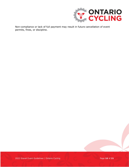

Non-compliance or lack of full payment may result in future cancellation of event permits, fines, or discipline.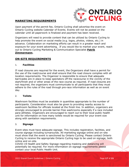

#### <span id="page-16-0"></span>**MARKETING REQUIREMENTS**

Upon payment of the permit fee, Ontario Cycling shall advertise the event on Ontario Cycling website Calendar of Events. Events will not be posted on the calendar until all paperwork is finalized and payment has been received.

Organizers will need to provide content that can be utilized by Ontario Cycling to help promote the event on social media (e.g. logos, photos, videos, etc.) in advance. Collaboration on marketing efforts can result in a greater reach and exposure for your event advertising. If you would like to market your event, reach out to Ontario Cycling Marketing & Communication Specialist **[Patrik](mailto:patrik.zimmermann@ontariocycling.org)  [Zimmermann.](mailto:patrik.zimmermann@ontariocycling.org)**

#### <span id="page-16-1"></span>**ON-SITE REQUIREMENTS**

#### 1. **Facilities**

If road closures are required for the event, the Organizers shall have a permit for the use of the road/course and shall ensure that the road closure complies with all location requirements. The Organizer is responsible to ensure that adequate barricades are in place to keep spectators off the racecourse in the vicinity of the start/finish and or other areas of the race course as required. If road closures are not required, the organizers must communicate to all participants that they must adhere to the rules of the road through pre-race information as well as on event day.

#### 2. **Toilets**

Washroom facilities must be available in quantities appropriate to the number of participants. Consideration must also be given to providing nearby access to washroom facilities for officials located at the finish line. In addition, organizers are strongly encouraged to provide barrier-free washrooms especially if a race included para-athletes. Organizers are encouraged to reach out to their local public health unit for information on how many toilets would be required for your event size along with sanitation requirements.

#### 3. **Signage**

Event sites must have adequate signage. This includes registration, facilities, and course signage including turnarounds. All marketing signage online and on-site must show that the event is sanctioned by Ontario Cycling. Please contact Ontario Cycling to receive the appropriate Ontario Cycling logo to be used on signage, both online and on-site.

COVID-19 Health and Safety Signage regarding masking and distancing will potentially be required. For more information on signage requirements please contact your local Public Health Unit.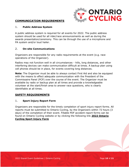

#### <span id="page-17-0"></span>**COMMUNICATION REQUIREMENTS**

#### 1. **Public Address System**

A public address system is required for all events for 2022. The public address system should be used for all rider/race announcements as well as during the awards presentation/ceremony. This can be through the use of a microphone and PA system and/or loud hailer.

#### 2. **On-site Communications**

Organizers are responsible for any radio requirements at the event (e.g. race operations of the Organizer).

Radios may not function well in all circumstances - hills, long distances, and other interfering devices can make communication difficult at times. A backup plan using cell phones should be in place, for events covering long distances.

**Note:** The Organizer must be able to always contact First Aid and also be equipped with the means to effect adequate communication with the President of the Commissaire Panel (PCP) over the course of the event. The Organizer must be available by radio or backup plan at all times and provide a knowledgeable volunteer at the start/finish area to answer race questions, who is clearly identifiable at all times.

#### <span id="page-17-1"></span>**SAFETY REQUIREMENTS**

#### 1. **Sport Injury Report Form**

Organizers are responsible for the timely completion of sport injury report forms. All reports must be submitted to Ontario Cycling, by the Organizers within 72 hours (3 days) of the completion of their event. Fillable PDF accident report forms can be found on Ontario Cycling website or by clicking the following link **[2022 Ontario](https://ontariocycling.org/forms/2022-sport-injury-report-form/)  Cycling [Sport Injury Form](https://ontariocycling.org/forms/2022-sport-injury-report-form/)**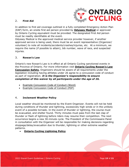

#### 2. **First Aid**

In addition to first aid coverage outlined in a fully completed Emergency Action Plan (EAP) form, an onsite first aid person provided by **[Odyssey Medical](https://odysseymedical.ca/)** or approved by Ontario Cycling equivalent must be provided. The designated First Aid person must be readily identifiable at the event.

Odyssey Medical is the approved medical service provider however, if another approved service is being used, there must be an event representative (Organizer/ volunteer) to note all incidents/accidents/crashes/injuries, etc. At a minimum, we require the name (if possible to attain), bib number, wave of race, and suspected injuries.

#### 3. **Rowan's Law**

Ontario's new Rowan's Law is in effect at all Ontario Cycling sanctioned events in the Province of Ontario. For more information visit **[Ontario Cycling](https://www.ontario.ca/page/rowans-law-concussion-safety) Rowan's Law [Concussion Safety](https://www.ontario.ca/page/rowans-law-concussion-safety).** Organizers should be aware of all requirements under the legislation including having athletes under 26 agree to a concussion code of conduct as part of registration. *It is the Organizer's responsibility to ensure completion of this waiver by all participants under the age of 26.*

- [Example Concussion Code of Conduct \(Word\)](https://files.ontario.ca/mtcs-templates-athlete-code-of-conduct-aoda-2019-06-25.docx)
- [Example Concussion Code of Conduct \(PDF\)](https://files.ontario.ca/mhstci-rowans-law-codes-of-conduct-20191120-athletes-en.pdf)

#### 4. **Inclement Weather Policy**

Local weather should be monitored by the Event Organizer. Events will not be held during conditions of thunder and lightning, excessively high winds or in the unlikely event of a possible tornado. In the event of thunder or lightning, the course must be evacuated, and shelter found. Thirty minutes must pass from the last clap of thunder or flash of lightning before riders may resume their competition. The next occurrence begins a new 30-minute cycle. The President of the Commissaire Panel in consultation with the Organizer will be responsible for making decisions regarding stoppage/delay/evacuation due to thunder, lightning or other extreme weather patterns.

#### • **Ontario Cycling [Lightning Policy](http://www.ontariocycling.org/forms/lightning-policy/)**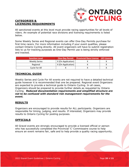

#### <span id="page-19-0"></span>**CATEGORIES & LICENSING REQUIREMENTS**

All sanctioned events at this level must provide racing opportunities for all levels of riders. An example of potential race divisions and licensing requirements is listed below.

Some Weekly Series and Regional events can offer One-Day Permits purchase for first time racers. For more information including if your event qualifies, please contact Ontario Cycling directly. All event organizers will have to submit registration lists to us for tracking purposes as One-Day Permit use is being strictly enforced and tracked.

| <b>Sanction Level</b> |                    | One-Day Permit Provincial Race License UCI License |  |
|-----------------------|--------------------|----------------------------------------------------|--|
| <b>Weekly Series</b>  | X (On Application) |                                                    |  |
| Regional              | X (On Application) |                                                    |  |
| Cycle For All         |                    |                                                    |  |

#### <span id="page-19-1"></span>**TECHNICAL GUIDE**

Weekly Series and Cycle For All events are not required to have a detailed technical guide however it is recommended that one be prepared. Regional event Organizers are expected to provide a technical guide to Ontario Cycling. In all cases, Organizers should be prepared to provide further details as requested by Ontario Cycling. *Reduced documentation requirements and simplified structure are not to be confused with standard risk management requirements for the event.*

#### <span id="page-19-2"></span>**RESULTS**

Organizers are encouraged to provide results for ALL participants. Organizers are responsible for timing, judging, and results. If interested, Organizers may provide results to Ontario Cycling for posting purposes.

#### <span id="page-19-3"></span>**OFFICIALS**

All Gravel events are strongly encouraged to provide a licensed official or person who has successfully completed the Provincial 'C' Commissaire course to help ensure an event remains fair, safe and to help provide a quality racing opportunity.